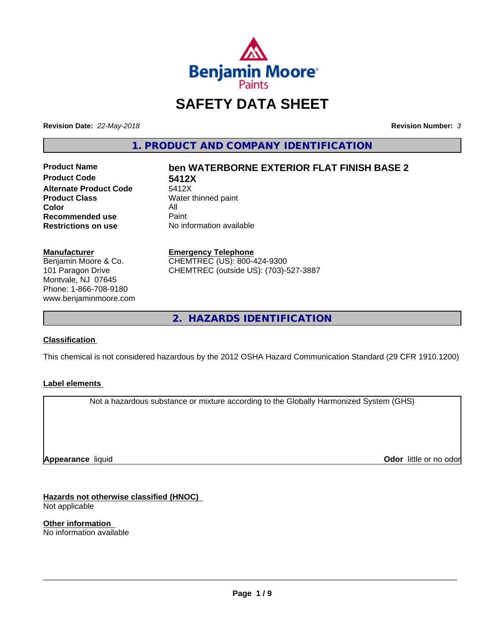

# **SAFETY DATA SHEET**

**Revision Date:** *22-May-2018* **Revision Number:** *3*

**1. PRODUCT AND COMPANY IDENTIFICATION**

**Product Code 5412X Alternate Product Code**<br>Product Class **Color** All<br> **Recommended use** Paint **Recommended use**<br>Restrictions on use

# **Product Name ben WATERBORNE EXTERIOR FLAT FINISH BASE 2**

**Water thinned paint No information available** 

## **Manufacturer**

Benjamin Moore & Co. 101 Paragon Drive Montvale, NJ 07645 Phone: 1-866-708-9180 www.benjaminmoore.com

#### **Emergency Telephone**

CHEMTREC (US): 800-424-9300 CHEMTREC (outside US): (703)-527-3887

**2. HAZARDS IDENTIFICATION**

## **Classification**

This chemical is not considered hazardous by the 2012 OSHA Hazard Communication Standard (29 CFR 1910.1200)

## **Label elements**

Not a hazardous substance or mixture according to the Globally Harmonized System (GHS)

**Appearance** liquid

**Odor** little or no odor

**Hazards not otherwise classified (HNOC)** Not applicable

**Other information** No information available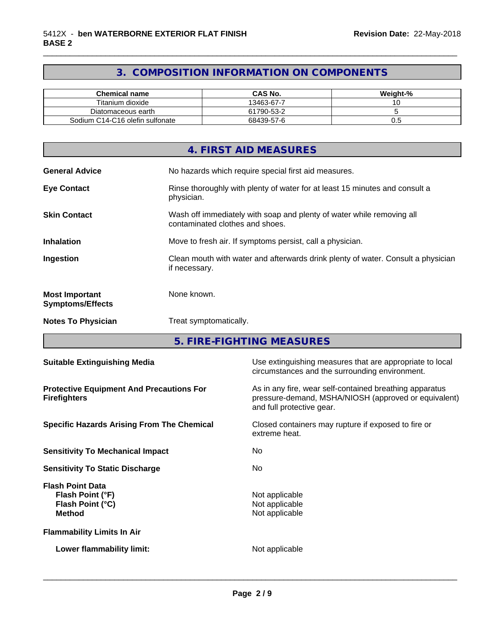## **3. COMPOSITION INFORMATION ON COMPONENTS**

\_\_\_\_\_\_\_\_\_\_\_\_\_\_\_\_\_\_\_\_\_\_\_\_\_\_\_\_\_\_\_\_\_\_\_\_\_\_\_\_\_\_\_\_\_\_\_\_\_\_\_\_\_\_\_\_\_\_\_\_\_\_\_\_\_\_\_\_\_\_\_\_\_\_\_\_\_\_\_\_\_\_\_\_\_\_\_\_\_\_\_\_\_

| Chemical name                   | CAS No.    | Weight-% |
|---------------------------------|------------|----------|
| Titanium dioxide                | 13463-67-7 | $\cdot$  |
| Diatomaceous earth              | 61790-53-2 |          |
| Sodium C14-C16 olefin sulfonate | 68439-57-6 | v.J      |

|                                                  | 4. FIRST AID MEASURES                                                                                    |
|--------------------------------------------------|----------------------------------------------------------------------------------------------------------|
| <b>General Advice</b>                            | No hazards which require special first aid measures.                                                     |
| <b>Eye Contact</b>                               | Rinse thoroughly with plenty of water for at least 15 minutes and consult a<br>physician.                |
| <b>Skin Contact</b>                              | Wash off immediately with soap and plenty of water while removing all<br>contaminated clothes and shoes. |
| <b>Inhalation</b>                                | Move to fresh air. If symptoms persist, call a physician.                                                |
| Ingestion                                        | Clean mouth with water and afterwards drink plenty of water. Consult a physician<br>if necessary.        |
| <b>Most Important</b><br><b>Symptoms/Effects</b> | None known.                                                                                              |
| <b>Notes To Physician</b>                        | Treat symptomatically.                                                                                   |

**5. FIRE-FIGHTING MEASURES**

| <b>Suitable Extinguishing Media</b>                                              | Use extinguishing measures that are appropriate to local<br>circumstances and the surrounding environment.                                   |
|----------------------------------------------------------------------------------|----------------------------------------------------------------------------------------------------------------------------------------------|
| <b>Protective Equipment And Precautions For</b><br><b>Firefighters</b>           | As in any fire, wear self-contained breathing apparatus<br>pressure-demand, MSHA/NIOSH (approved or equivalent)<br>and full protective gear. |
| <b>Specific Hazards Arising From The Chemical</b>                                | Closed containers may rupture if exposed to fire or<br>extreme heat.                                                                         |
| <b>Sensitivity To Mechanical Impact</b>                                          | No.                                                                                                                                          |
| <b>Sensitivity To Static Discharge</b>                                           | No.                                                                                                                                          |
| <b>Flash Point Data</b><br>Flash Point (°F)<br>Flash Point (°C)<br><b>Method</b> | Not applicable<br>Not applicable<br>Not applicable                                                                                           |
| <b>Flammability Limits In Air</b>                                                |                                                                                                                                              |
| Lower flammability limit:                                                        | Not applicable                                                                                                                               |
|                                                                                  |                                                                                                                                              |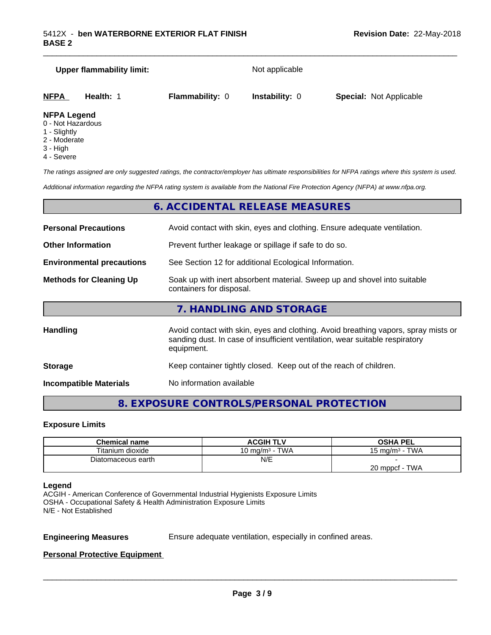| <b>Upper flammability limit:</b>         |           |                        | Not applicable        |                                |  |  |
|------------------------------------------|-----------|------------------------|-----------------------|--------------------------------|--|--|
| <b>NFPA</b>                              | Health: 1 | <b>Flammability: 0</b> | <b>Instability: 0</b> | <b>Special: Not Applicable</b> |  |  |
| <b>NFPA Legend</b><br>0 - Not Hazardouel |           |                        |                       |                                |  |  |

\_\_\_\_\_\_\_\_\_\_\_\_\_\_\_\_\_\_\_\_\_\_\_\_\_\_\_\_\_\_\_\_\_\_\_\_\_\_\_\_\_\_\_\_\_\_\_\_\_\_\_\_\_\_\_\_\_\_\_\_\_\_\_\_\_\_\_\_\_\_\_\_\_\_\_\_\_\_\_\_\_\_\_\_\_\_\_\_\_\_\_\_\_

- 0 Not Hazardous
- 1 Slightly
- 2 Moderate
- 3 High
- 4 Severe

*The ratings assigned are only suggested ratings, the contractor/employer has ultimate responsibilities for NFPA ratings where this system is used.*

*Additional information regarding the NFPA rating system is available from the National Fire Protection Agency (NFPA) at www.nfpa.org.*

## **6. ACCIDENTAL RELEASE MEASURES**

| <b>Personal Precautions</b>      | Avoid contact with skin, eyes and clothing. Ensure adequate ventilation.                                                                                                         |  |
|----------------------------------|----------------------------------------------------------------------------------------------------------------------------------------------------------------------------------|--|
| <b>Other Information</b>         | Prevent further leakage or spillage if safe to do so.                                                                                                                            |  |
| <b>Environmental precautions</b> | See Section 12 for additional Ecological Information.                                                                                                                            |  |
| <b>Methods for Cleaning Up</b>   | Soak up with inert absorbent material. Sweep up and shovel into suitable<br>containers for disposal.                                                                             |  |
|                                  | 7. HANDLING AND STORAGE                                                                                                                                                          |  |
| <b>Handling</b>                  | Avoid contact with skin, eyes and clothing. Avoid breathing vapors, spray mists or<br>sanding dust. In case of insufficient ventilation, wear suitable respiratory<br>equipment. |  |
| <b>Storage</b>                   | Keep container tightly closed. Keep out of the reach of children.                                                                                                                |  |

**Incompatible Materials** No information available

**8. EXPOSURE CONTROLS/PERSONAL PROTECTION**

#### **Exposure Limits**

| <b>Chemical name</b> | ACGIH TLV         | OSHA PEL              |
|----------------------|-------------------|-----------------------|
| Titanium dioxide     | 10 mg/m $3$ - TWA | 15 mg/m $3$ - TWA     |
| Diatomaceous earth   | N/E               |                       |
|                      |                   | ∙ TWA<br>20 mppcf - T |

#### **Legend**

ACGIH - American Conference of Governmental Industrial Hygienists Exposure Limits OSHA - Occupational Safety & Health Administration Exposure Limits N/E - Not Established

**Engineering Measures** Ensure adequate ventilation, especially in confined areas.

 $\overline{\phantom{a}}$  ,  $\overline{\phantom{a}}$  ,  $\overline{\phantom{a}}$  ,  $\overline{\phantom{a}}$  ,  $\overline{\phantom{a}}$  ,  $\overline{\phantom{a}}$  ,  $\overline{\phantom{a}}$  ,  $\overline{\phantom{a}}$  ,  $\overline{\phantom{a}}$  ,  $\overline{\phantom{a}}$  ,  $\overline{\phantom{a}}$  ,  $\overline{\phantom{a}}$  ,  $\overline{\phantom{a}}$  ,  $\overline{\phantom{a}}$  ,  $\overline{\phantom{a}}$  ,  $\overline{\phantom{a}}$ 

**Personal Protective Equipment**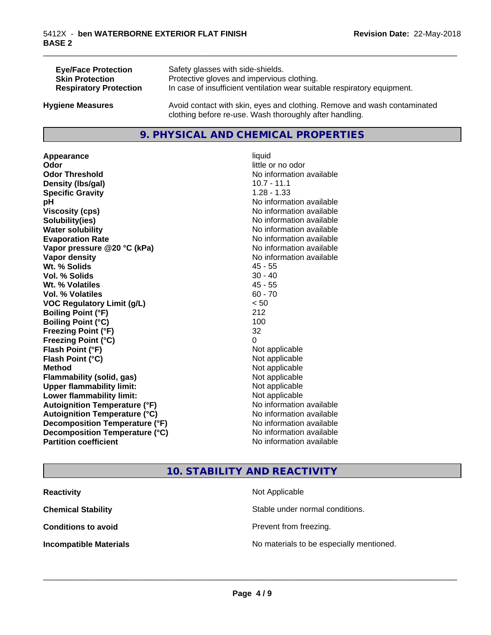| <b>Eye/Face Protection</b>    | Safety glasses with side-shields.                                        |
|-------------------------------|--------------------------------------------------------------------------|
| <b>Skin Protection</b>        | Protective gloves and impervious clothing.                               |
| <b>Respiratory Protection</b> | In case of insufficient ventilation wear suitable respiratory equipment. |
| <b>Hygiene Measures</b>       | Avoid contact with skin, eyes and clothing. Remove and wash contaminated |

## **9. PHYSICAL AND CHEMICAL PROPERTIES**

clothing before re-use. Wash thoroughly after handling.

**Appearance** liquid **Odor** little or no odor **Odor Threshold No information available No information available Density (lbs/gal)** 10.7 - 11.1 **Specific Gravity** 1.28 - 1.33 **pH** No information available **Viscosity (cps)** No information available **Solubility(ies)** No information available **Water solubility Water solubility Water solubility Water solubility Water solubility Water solution Evaporation Rate No information available No information available Vapor pressure @20 °C (kPa)** No information available **Vapor density No information available Wt. % Solids** 45 - 55 **Vol. % Solids** 30 - 40 **Wt. % Volatiles** 45 - 55 **Vol. % Volatiles** 60 - 70 **VOC Regulatory Limit (g/L)** < 50 **Boiling Point (°F)** 212 **Boiling Point**  $(^{\circ}C)$  100 **Freezing Point (°F)** 32 **Freezing Point (°C)** 0 **Flash Point (°F)**<br> **Flash Point (°C)**<br> **Flash Point (°C)**<br> **Point (°C) Flash Point (°C) Method** Not applicable **Flammability (solid, gas)** Not applicable **Upper flammability limit:** Not applicable **Lower flammability limit:** Not applicable **Autoignition Temperature (°F)** No information available **Autoignition Temperature (°C)** No information available **Decomposition Temperature (°F)**<br> **Decomposition Temperature (°C)**<br>
No information available **Decomposition Temperature (°C)**<br>Partition coefficient

**No information available** 

\_\_\_\_\_\_\_\_\_\_\_\_\_\_\_\_\_\_\_\_\_\_\_\_\_\_\_\_\_\_\_\_\_\_\_\_\_\_\_\_\_\_\_\_\_\_\_\_\_\_\_\_\_\_\_\_\_\_\_\_\_\_\_\_\_\_\_\_\_\_\_\_\_\_\_\_\_\_\_\_\_\_\_\_\_\_\_\_\_\_\_\_\_

## **10. STABILITY AND REACTIVITY**

| <b>Reactivity</b>             | Not Applicable                           |
|-------------------------------|------------------------------------------|
| <b>Chemical Stability</b>     | Stable under normal conditions.          |
| <b>Conditions to avoid</b>    | Prevent from freezing.                   |
| <b>Incompatible Materials</b> | No materials to be especially mentioned. |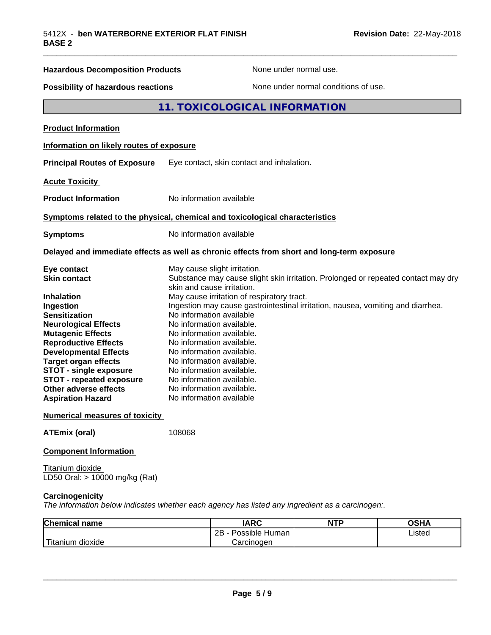| <b>Hazardous Decomposition Products</b>                                                                                                                                                                                                                                                                                                                                        | None under normal use.                                                                                                                                                                                                                                                                                                                                                                                                                                                                                                                                                           |
|--------------------------------------------------------------------------------------------------------------------------------------------------------------------------------------------------------------------------------------------------------------------------------------------------------------------------------------------------------------------------------|----------------------------------------------------------------------------------------------------------------------------------------------------------------------------------------------------------------------------------------------------------------------------------------------------------------------------------------------------------------------------------------------------------------------------------------------------------------------------------------------------------------------------------------------------------------------------------|
| <b>Possibility of hazardous reactions</b>                                                                                                                                                                                                                                                                                                                                      | None under normal conditions of use.                                                                                                                                                                                                                                                                                                                                                                                                                                                                                                                                             |
|                                                                                                                                                                                                                                                                                                                                                                                | 11. TOXICOLOGICAL INFORMATION                                                                                                                                                                                                                                                                                                                                                                                                                                                                                                                                                    |
| <b>Product Information</b>                                                                                                                                                                                                                                                                                                                                                     |                                                                                                                                                                                                                                                                                                                                                                                                                                                                                                                                                                                  |
| Information on likely routes of exposure                                                                                                                                                                                                                                                                                                                                       |                                                                                                                                                                                                                                                                                                                                                                                                                                                                                                                                                                                  |
| <b>Principal Routes of Exposure</b>                                                                                                                                                                                                                                                                                                                                            | Eye contact, skin contact and inhalation.                                                                                                                                                                                                                                                                                                                                                                                                                                                                                                                                        |
| <b>Acute Toxicity</b>                                                                                                                                                                                                                                                                                                                                                          |                                                                                                                                                                                                                                                                                                                                                                                                                                                                                                                                                                                  |
| <b>Product Information</b>                                                                                                                                                                                                                                                                                                                                                     | No information available                                                                                                                                                                                                                                                                                                                                                                                                                                                                                                                                                         |
|                                                                                                                                                                                                                                                                                                                                                                                | Symptoms related to the physical, chemical and toxicological characteristics                                                                                                                                                                                                                                                                                                                                                                                                                                                                                                     |
| <b>Symptoms</b>                                                                                                                                                                                                                                                                                                                                                                | No information available                                                                                                                                                                                                                                                                                                                                                                                                                                                                                                                                                         |
|                                                                                                                                                                                                                                                                                                                                                                                | Delayed and immediate effects as well as chronic effects from short and long-term exposure                                                                                                                                                                                                                                                                                                                                                                                                                                                                                       |
| Eye contact<br><b>Skin contact</b><br><b>Inhalation</b><br>Ingestion<br><b>Sensitization</b><br><b>Neurological Effects</b><br><b>Mutagenic Effects</b><br><b>Reproductive Effects</b><br><b>Developmental Effects</b><br><b>Target organ effects</b><br><b>STOT - single exposure</b><br><b>STOT - repeated exposure</b><br>Other adverse effects<br><b>Aspiration Hazard</b> | May cause slight irritation.<br>Substance may cause slight skin irritation. Prolonged or repeated contact may dry<br>skin and cause irritation.<br>May cause irritation of respiratory tract.<br>Ingestion may cause gastrointestinal irritation, nausea, vomiting and diarrhea.<br>No information available<br>No information available.<br>No information available.<br>No information available.<br>No information available.<br>No information available.<br>No information available.<br>No information available.<br>No information available.<br>No information available |
| <b>Numerical measures of toxicity</b><br><b>ATEmix (oral)</b>                                                                                                                                                                                                                                                                                                                  | 108068                                                                                                                                                                                                                                                                                                                                                                                                                                                                                                                                                                           |
| <b>Component Information</b>                                                                                                                                                                                                                                                                                                                                                   |                                                                                                                                                                                                                                                                                                                                                                                                                                                                                                                                                                                  |

Titanium dioxide LD50 Oral: > 10000 mg/kg (Rat)

#### **Carcinogenicity**

*The information below indicateswhether each agency has listed any ingredient as a carcinogen:.*

| <b>Chemical</b><br>name        | <b>IARC</b>                    | <b>NTP</b> | <b>OSHA</b> |
|--------------------------------|--------------------------------|------------|-------------|
|                                | . .<br>2B<br>Possible<br>Human |            | Listed<br>. |
| .<br>dioxide<br><b>itanium</b> | Carcinogen                     |            |             |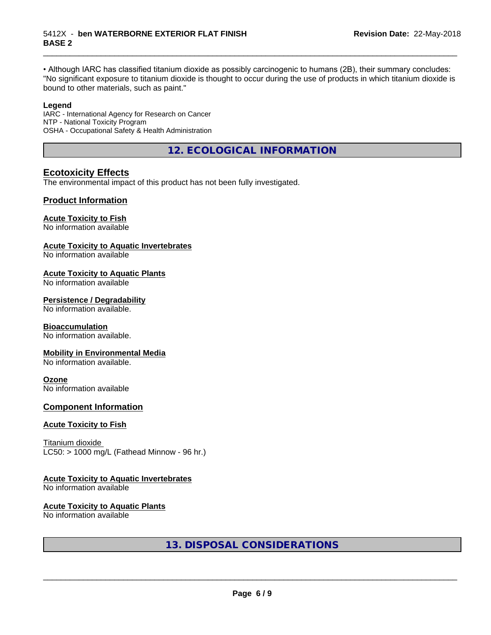• Although IARC has classified titanium dioxide as possibly carcinogenic to humans (2B), their summary concludes: "No significant exposure to titanium dioxide is thought to occur during the use of products in which titanium dioxide is bound to other materials, such as paint."

\_\_\_\_\_\_\_\_\_\_\_\_\_\_\_\_\_\_\_\_\_\_\_\_\_\_\_\_\_\_\_\_\_\_\_\_\_\_\_\_\_\_\_\_\_\_\_\_\_\_\_\_\_\_\_\_\_\_\_\_\_\_\_\_\_\_\_\_\_\_\_\_\_\_\_\_\_\_\_\_\_\_\_\_\_\_\_\_\_\_\_\_\_

#### **Legend**

IARC - International Agency for Research on Cancer NTP - National Toxicity Program OSHA - Occupational Safety & Health Administration

**12. ECOLOGICAL INFORMATION**

## **Ecotoxicity Effects**

The environmental impact of this product has not been fully investigated.

## **Product Information**

#### **Acute Toxicity to Fish**

No information available

### **Acute Toxicity to Aquatic Invertebrates**

No information available

#### **Acute Toxicity to Aquatic Plants**

No information available

#### **Persistence / Degradability**

No information available.

#### **Bioaccumulation**

No information available.

#### **Mobility in Environmental Media**

No information available.

#### **Ozone**

No information available

## **Component Information**

#### **Acute Toxicity to Fish**

Titanium dioxide  $LC50:$  > 1000 mg/L (Fathead Minnow - 96 hr.)

## **Acute Toxicity to Aquatic Invertebrates**

No information available

#### **Acute Toxicity to Aquatic Plants**

No information available

**13. DISPOSAL CONSIDERATIONS**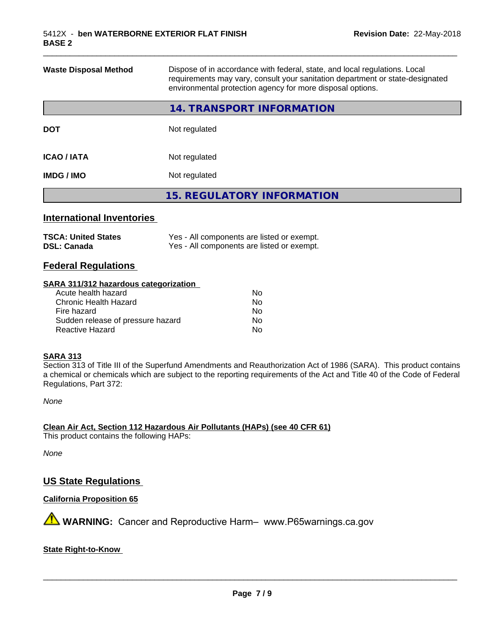| <b>Waste Disposal Method</b> | Dispose of in accordance with federal, state, and local regulations. Local<br>requirements may vary, consult your sanitation department or state-designated<br>environmental protection agency for more disposal options. |
|------------------------------|---------------------------------------------------------------------------------------------------------------------------------------------------------------------------------------------------------------------------|
|                              | 14. TRANSPORT INFORMATION                                                                                                                                                                                                 |
| <b>DOT</b>                   | Not regulated                                                                                                                                                                                                             |
| <b>ICAO / IATA</b>           | Not regulated                                                                                                                                                                                                             |
| <b>IMDG / IMO</b>            | Not regulated                                                                                                                                                                                                             |
|                              | <b>15. REGULATORY INFORMATION</b>                                                                                                                                                                                         |
|                              |                                                                                                                                                                                                                           |

\_\_\_\_\_\_\_\_\_\_\_\_\_\_\_\_\_\_\_\_\_\_\_\_\_\_\_\_\_\_\_\_\_\_\_\_\_\_\_\_\_\_\_\_\_\_\_\_\_\_\_\_\_\_\_\_\_\_\_\_\_\_\_\_\_\_\_\_\_\_\_\_\_\_\_\_\_\_\_\_\_\_\_\_\_\_\_\_\_\_\_\_\_

## **International Inventories**

| <b>TSCA: United States</b> | Yes - All components are listed or exempt. |
|----------------------------|--------------------------------------------|
| <b>DSL: Canada</b>         | Yes - All components are listed or exempt. |

## **Federal Regulations**

#### **SARA 311/312 hazardous categorization**

| Acute health hazard               | No |
|-----------------------------------|----|
| Chronic Health Hazard             | Nο |
| Fire hazard                       | No |
| Sudden release of pressure hazard | Nο |
| Reactive Hazard                   | Nο |

#### **SARA 313**

Section 313 of Title III of the Superfund Amendments and Reauthorization Act of 1986 (SARA). This product contains a chemical or chemicals which are subject to the reporting requirements of the Act and Title 40 of the Code of Federal Regulations, Part 372:

*None*

**Clean Air Act,Section 112 Hazardous Air Pollutants (HAPs) (see 40 CFR 61)**

This product contains the following HAPs:

*None*

## **US State Regulations**

**California Proposition 65**

**AVIMARNING:** Cancer and Reproductive Harm– www.P65warnings.ca.gov

#### **State Right-to-Know**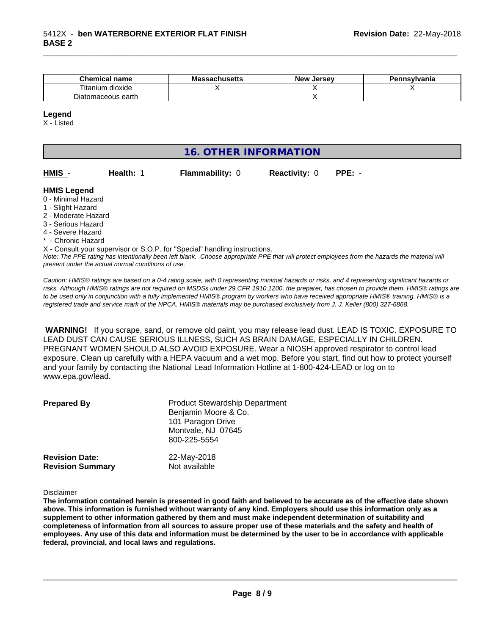| Chemical<br><b>name</b> | - -<br><b>Massachusetts</b> | . Jersev<br>New | Pennsvlvania |
|-------------------------|-----------------------------|-----------------|--------------|
| dioxide<br>l itanıum    |                             |                 |              |
| earth<br>Diatomaceous   |                             |                 |              |

#### **Legend**

X - Listed

## **16. OTHER INFORMATION**

| <b>HMIS</b> |  |
|-------------|--|
|-------------|--|

**Health: 1 Flammability: 0 Reactivity: 0 PPE: -**

\_\_\_\_\_\_\_\_\_\_\_\_\_\_\_\_\_\_\_\_\_\_\_\_\_\_\_\_\_\_\_\_\_\_\_\_\_\_\_\_\_\_\_\_\_\_\_\_\_\_\_\_\_\_\_\_\_\_\_\_\_\_\_\_\_\_\_\_\_\_\_\_\_\_\_\_\_\_\_\_\_\_\_\_\_\_\_\_\_\_\_\_\_

#### **HMIS Legend**

- 0 Minimal Hazard
- 1 Slight Hazard
- 2 Moderate Hazard
- 3 Serious Hazard
- 4 Severe Hazard
- **Chronic Hazard**

X - Consult your supervisor or S.O.P. for "Special" handling instructions.

*Note: The PPE rating has intentionally been left blank. Choose appropriate PPE that will protect employees from the hazards the material will present under the actual normal conditions of use.*

*Caution: HMISÒ ratings are based on a 0-4 rating scale, with 0 representing minimal hazards or risks, and 4 representing significant hazards or risks. Although HMISÒ ratings are not required on MSDSs under 29 CFR 1910.1200, the preparer, has chosen to provide them. HMISÒ ratings are to be used only in conjunction with a fully implemented HMISÒ program by workers who have received appropriate HMISÒ training. HMISÒ is a registered trade and service mark of the NPCA. HMISÒ materials may be purchased exclusively from J. J. Keller (800) 327-6868.*

 **WARNING!** If you scrape, sand, or remove old paint, you may release lead dust. LEAD IS TOXIC. EXPOSURE TO LEAD DUST CAN CAUSE SERIOUS ILLNESS, SUCH AS BRAIN DAMAGE, ESPECIALLY IN CHILDREN. PREGNANT WOMEN SHOULD ALSO AVOID EXPOSURE.Wear a NIOSH approved respirator to control lead exposure. Clean up carefully with a HEPA vacuum and a wet mop. Before you start, find out how to protect yourself and your family by contacting the National Lead Information Hotline at 1-800-424-LEAD or log on to www.epa.gov/lead.

| <b>Prepared By</b>      | <b>Product Stewardship Department</b><br>Benjamin Moore & Co.<br>101 Paragon Drive<br>Montvale, NJ 07645<br>800-225-5554 |
|-------------------------|--------------------------------------------------------------------------------------------------------------------------|
| <b>Revision Date:</b>   | 22-May-2018                                                                                                              |
| <b>Revision Summary</b> | Not available                                                                                                            |

Disclaimer

The information contained herein is presented in good faith and believed to be accurate as of the effective date shown above. This information is furnished without warranty of any kind. Employers should use this information only as a **supplement to other information gathered by them and must make independent determination of suitability and** completeness of information from all sources to assure proper use of these materials and the safety and health of employees. Any use of this data and information must be determined by the user to be in accordance with applicable **federal, provincial, and local laws and regulations.**